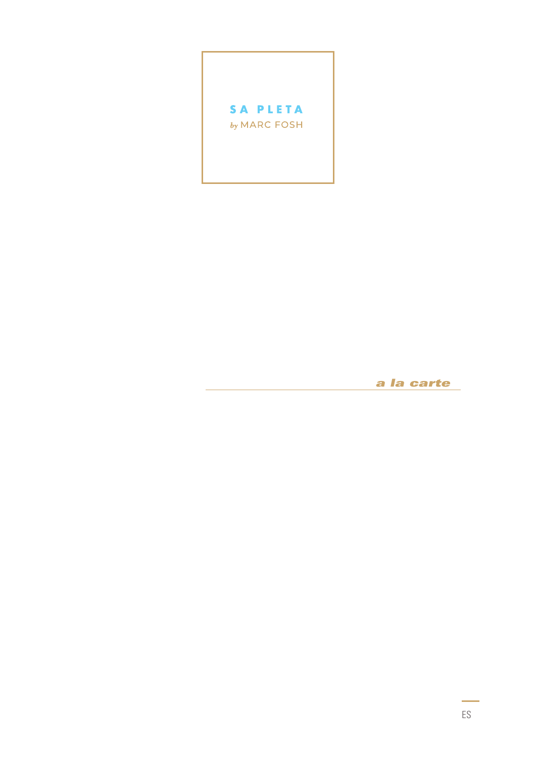

a la carte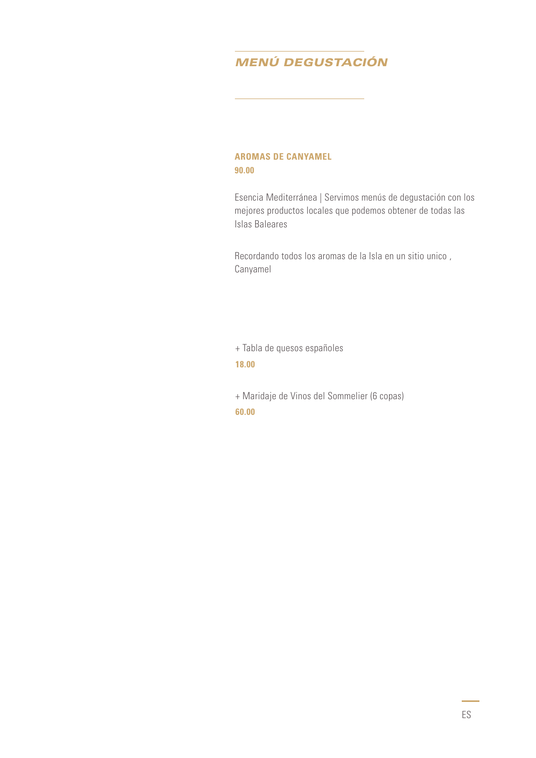# *MENÚ DEGUSTACIÓN*

## **AROMAS DE CANYAMEL 90.00**

Esencia Mediterránea | Servimos menús de degustación con los mejores productos locales que podemos obtener de todas las Islas Baleares

Recordando todos los aromas de la Isla en un sitio unico , Canyamel

+ Tabla de quesos españoles **18.00**

+ Maridaje de Vinos del Sommelier (6 copas) **60.00**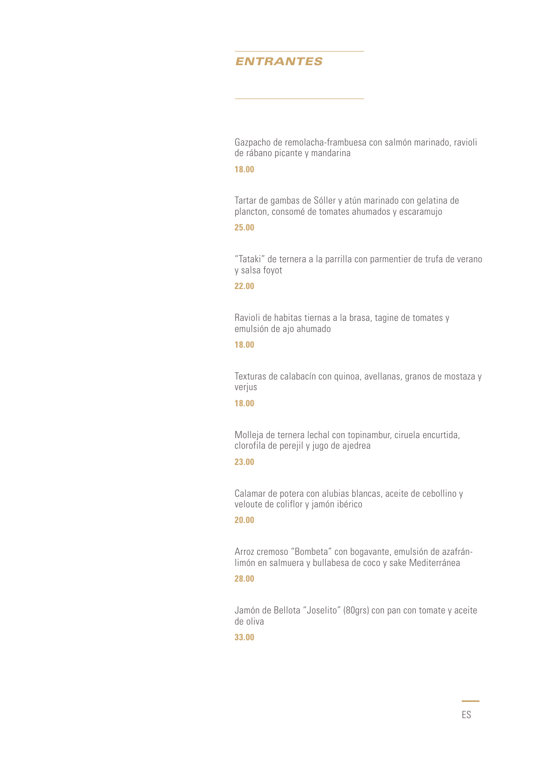# *ENTRANTES*

Gazpacho de remolacha-frambuesa con salmón marinado, ravioli de rábano picante y mandarina

#### **18.00**

Tartar de gambas de Sóller y atún marinado con gelatina de plancton, consomé de tomates ahumados y escaramujo

#### **25.00**

"Tataki" de ternera a la parrilla con parmentier de trufa de verano y salsa foyot

#### **22.00**

Ravioli de habitas tiernas a la brasa, tagine de tomates y emulsión de ajo ahumado

#### **18.00**

Texturas de calabacín con quinoa, avellanas, granos de mostaza y verjus

### **18.00**

Molleja de ternera lechal con topinambur, ciruela encurtida, clorofila de perejil y jugo de ajedrea

#### **23.00**

Calamar de potera con alubias blancas, aceite de cebollino y veloute de coliflor y jamón ibérico

#### **20.00**

Arroz cremoso "Bombeta" con bogavante, emulsión de azafránlimón en salmuera y bullabesa de coco y sake Mediterránea

#### **28.00**

Jamón de Bellota "Joselito" (80grs) con pan con tomate y aceite de oliva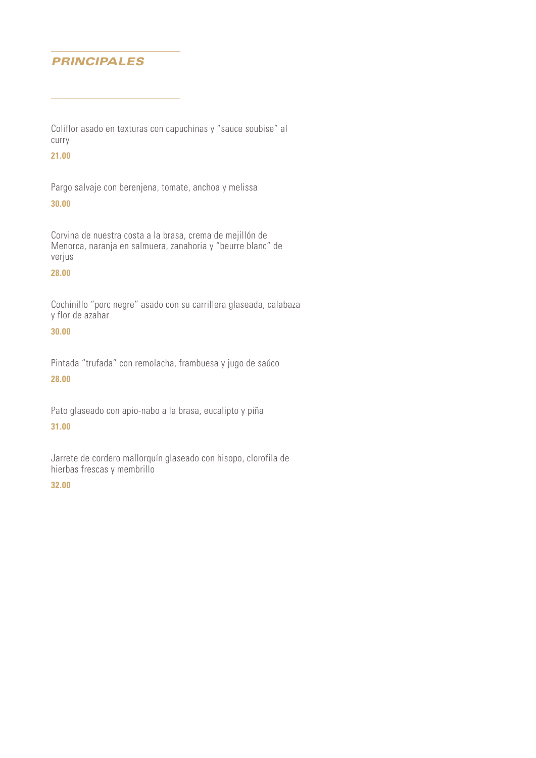# *PRINCIPALES*

Coliflor asado en texturas con capuchinas y "sauce soubise" al curry

# **21.00**

Pargo salvaje con berenjena, tomate, anchoa y melissa

#### **30.00**

Corvina de nuestra costa a la brasa, crema de mejillón de Menorca, naranja en salmuera, zanahoria y "beurre blanc" de verjus

#### **28.00**

Cochinillo "porc negre" asado con su carrillera glaseada, calabaza y flor de azahar

# **30.00**

Pintada "trufada" con remolacha, frambuesa y jugo de saúco

**28.00**

Pato glaseado con apio-nabo a la brasa, eucalipto y piña

## **31.00**

Jarrete de cordero mallorquín glaseado con hisopo, clorofila de hierbas frescas y membrillo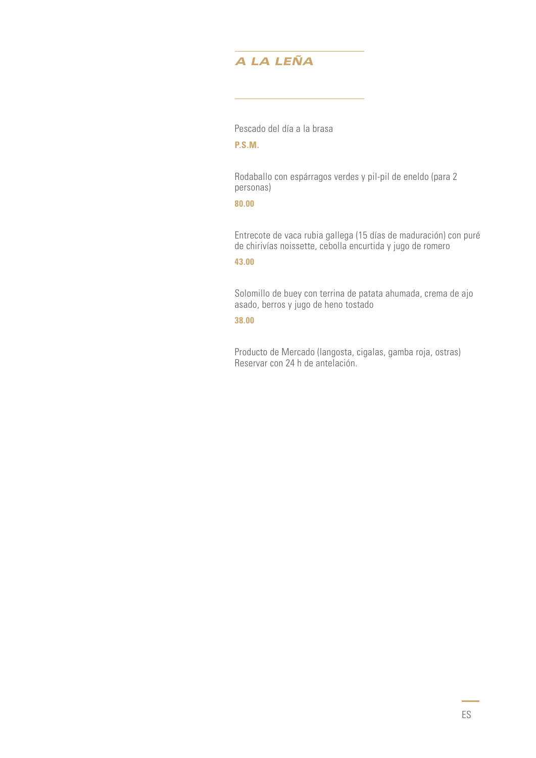# *A LA LEÑA*

Pescado del día a la brasa

**P.S.M.**

Rodaballo con espárragos verdes y pil-pil de eneldo (para 2 personas)

## **80.00**

Entrecote de vaca rubia gallega (15 días de maduración) con puré de chirivías noissette, cebolla encurtida y jugo de romero

### **43.00**

Solomillo de buey con terrina de patata ahumada, crema de ajo asado, berros y jugo de heno tostado

#### **38.00**

Producto de Mercado (langosta, cigalas, gamba roja, ostras) Reservar con 24 h de antelación.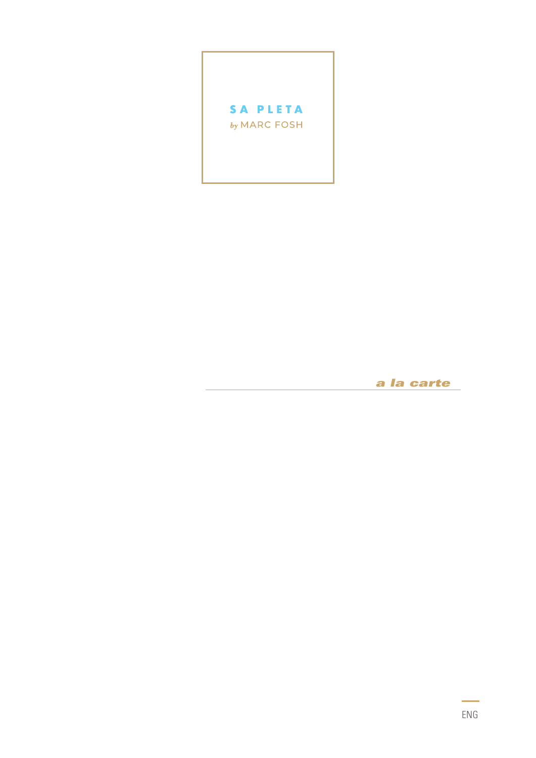

*a la carte*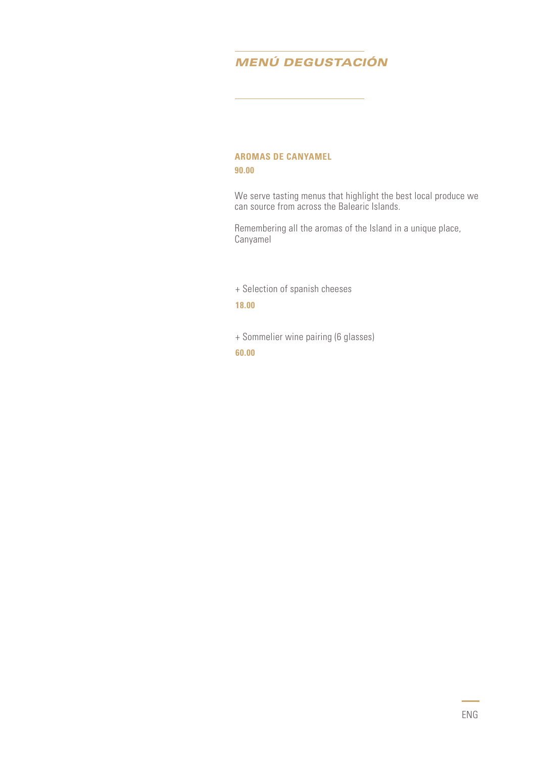# *MENÚ DEGUSTACIÓN*

## **AROMAS DE CANYAMEL 90.00**

We serve tasting menus that highlight the best local produce we can source from across the Balearic Islands.

Remembering all the aromas of the Island in a unique place, Canyamel

+ Selection of spanish cheeses

#### **18.00**

+ Sommelier wine pairing (6 glasses)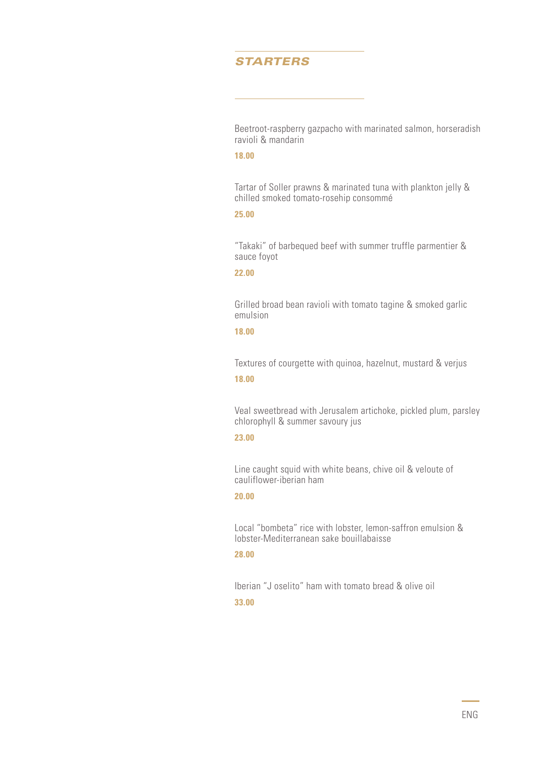# *STARTERS*

Beetroot-raspberry gazpacho with marinated salmon, horseradish ravioli & mandarin

# **18.00**

Tartar of Soller prawns & marinated tuna with plankton jelly & chilled smoked tomato-rosehip consommé

### **25.00**

"Takaki" of barbequed beef with summer truffle parmentier & sauce foyot

#### **22.00**

Grilled broad bean ravioli with tomato tagine & smoked garlic emulsion

#### **18.00**

Textures of courgette with quinoa, hazelnut, mustard & verjus **18.00**

Veal sweetbread with Jerusalem artichoke, pickled plum, parsley chlorophyll & summer savoury jus

#### **23.00**

Line caught squid with white beans, chive oil & veloute of cauliflower-iberian ham

## **20.00**

Local "bombeta" rice with lobster, lemon-saffron emulsion & lobster-Mediterranean sake bouillabaisse

#### **28.00**

Iberian "J oselito" ham with tomato bread & olive oil **33.00**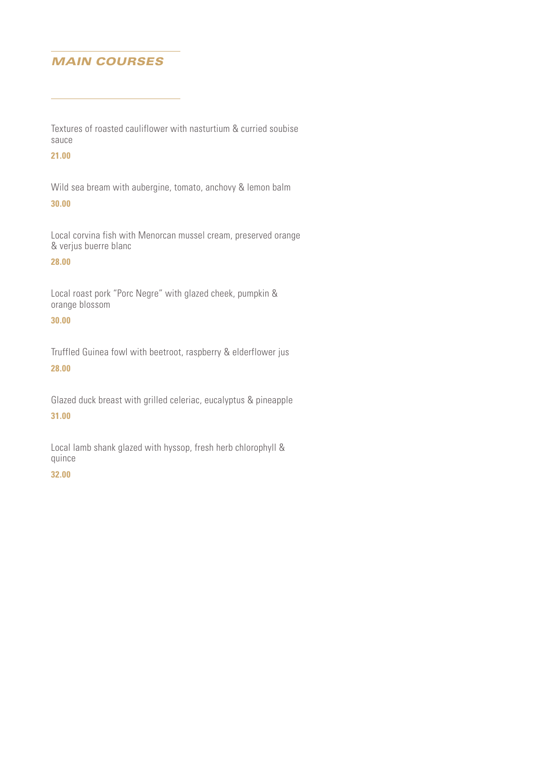# *MAIN COURSES*

Textures of roasted cauliflower with nasturtium & curried soubise sauce

# **21.00**

Wild sea bream with aubergine, tomato, anchovy & lemon balm

# **30.00**

Local corvina fish with Menorcan mussel cream, preserved orange & verjus buerre blanc

# **28.00**

Local roast pork "Porc Negre" with glazed cheek, pumpkin & orange blossom

# **30.00**

Truffled Guinea fowl with beetroot, raspberry & elderflower jus **28.00**

Glazed duck breast with grilled celeriac, eucalyptus & pineapple

# **31.00**

Local lamb shank glazed with hyssop, fresh herb chlorophyll & quince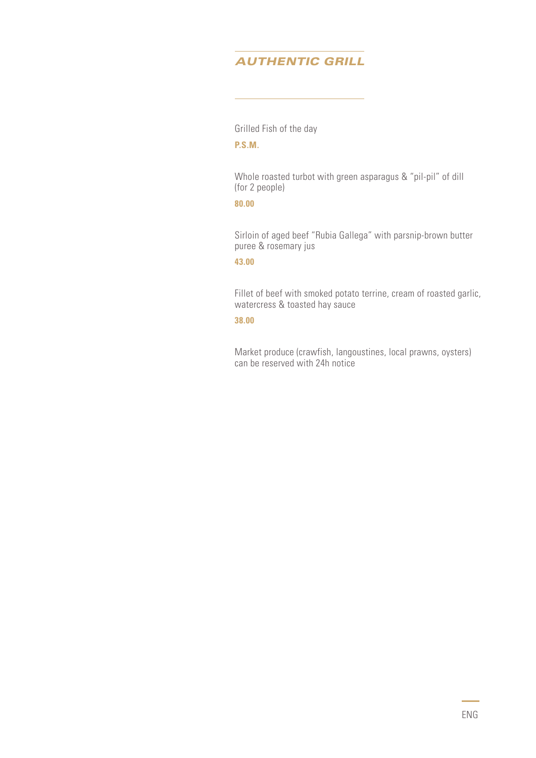# *AUTHENTIC GRILL*

Grilled Fish of the day

**P.S.M.**

Whole roasted turbot with green asparagus & "pil-pil" of dill (for 2 people)

#### **80.00**

Sirloin of aged beef "Rubia Gallega" with parsnip-brown butter puree & rosemary jus

# **43.00**

Fillet of beef with smoked potato terrine, cream of roasted garlic, watercress & toasted hay sauce

#### **38.00**

Market produce (crawfish, langoustines, local prawns, oysters) can be reserved with 24h notice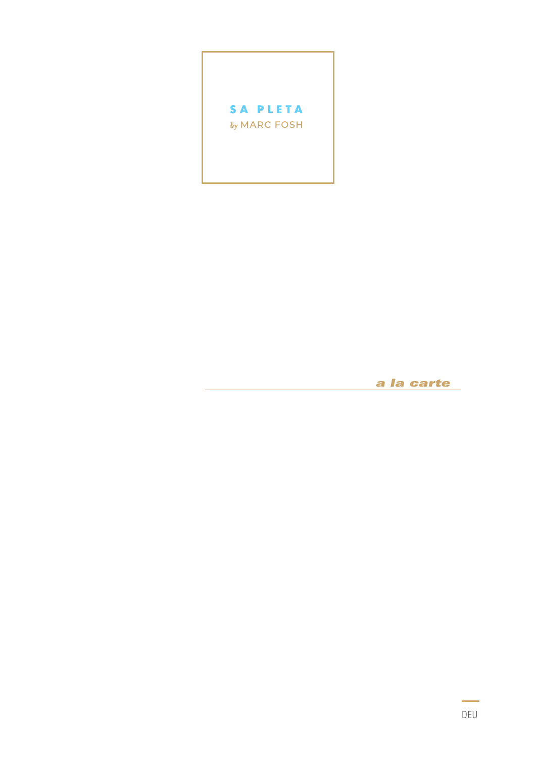

a la carte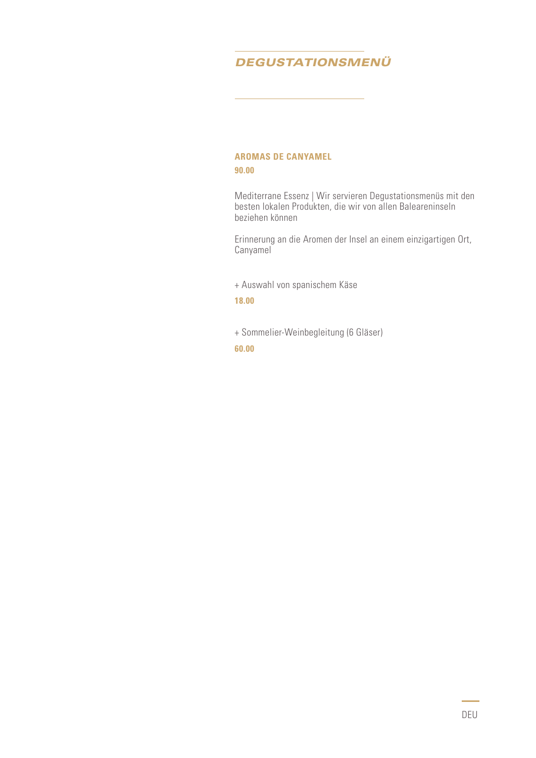# *DEGUSTATIONSMENÜ*

## **AROMAS DE CANYAMEL 90.00**

Mediterrane Essenz | Wir servieren Degustationsmenüs mit den besten lokalen Produkten, die wir von allen Baleareninseln beziehen können

Erinnerung an die Aromen der Insel an einem einzigartigen Ort, Canyamel

+ Auswahl von spanischem Käse

**18.00**

+ Sommelier-Weinbegleitung (6 Gläser)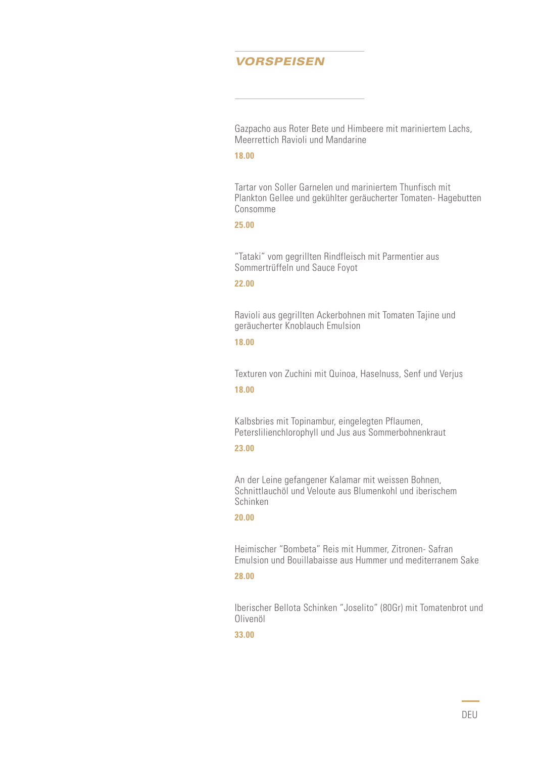# *VORSPEISEN*

Gazpacho aus Roter Bete und Himbeere mit mariniertem Lachs, Meerrettich Ravioli und Mandarine

#### **18.00**

Tartar von Soller Garnelen und mariniertem Thunfisch mit Plankton Gellee und gekühlter geräucherter Tomaten- Hagebutten Consomme

#### **25.00**

"Tataki" vom gegrillten Rindfleisch mit Parmentier aus Sommertrüffeln und Sauce Foyot

#### **22.00**

Ravioli aus gegrillten Ackerbohnen mit Tomaten Tajine und geräucherter Knoblauch Emulsion

#### **18.00**

Texturen von Zuchini mit Quinoa, Haselnuss, Senf und Verjus **18.00**

Kalbsbries mit Topinambur, eingelegten Pflaumen, Peterslilienchlorophyll und Jus aus Sommerbohnenkraut

# **23.00**

An der Leine gefangener Kalamar mit weissen Bohnen, Schnittlauchöl und Veloute aus Blumenkohl und iberischem Schinken

#### **20.00**

Heimischer "Bombeta" Reis mit Hummer, Zitronen- Safran Emulsion und Bouillabaisse aus Hummer und mediterranem Sake

#### **28.00**

Iberischer Bellota Schinken "Joselito" (80Gr) mit Tomatenbrot und Olivenöl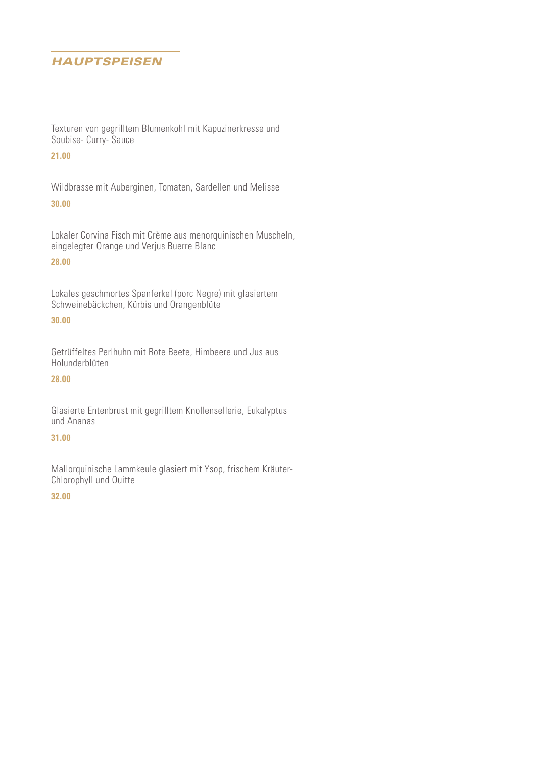# *HAUPTSPEISEN*

Texturen von gegrilltem Blumenkohl mit Kapuzinerkresse und Soubise- Curry- Sauce

# **21.00**

Wildbrasse mit Auberginen, Tomaten, Sardellen und Melisse

## **30.00**

Lokaler Corvina Fisch mit Crème aus menorquinischen Muscheln, eingelegter Orange und Verjus Buerre Blanc

# **28.00**

Lokales geschmortes Spanferkel (porc Negre) mit glasiertem Schweinebäckchen, Kürbis und Orangenblüte

## **30.00**

Getrüffeltes Perlhuhn mit Rote Beete, Himbeere und Jus aus Holunderblüten

#### **28.00**

Glasierte Entenbrust mit gegrilltem Knollensellerie, Eukalyptus und Ananas

#### **31.00**

Mallorquinische Lammkeule glasiert mit Ysop, frischem Kräuter-Chlorophyll und Quitte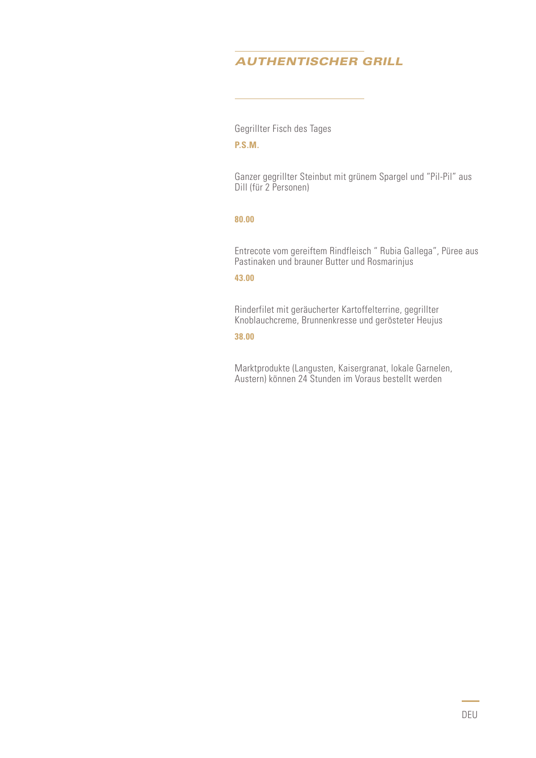# *AUTHENTISCHER GRILL*

Gegrillter Fisch des Tages

# **P.S.M.**

Ganzer gegrillter Steinbut mit grünem Spargel und "Pil-Pil" aus Dill (für 2 Personen)

### **80.00**

Entrecote vom gereiftem Rindfleisch " Rubia Gallega", Püree aus Pastinaken und brauner Butter und Rosmarinjus

#### **43.00**

Rinderfilet mit geräucherter Kartoffelterrine, gegrillter Knoblauchcreme, Brunnenkresse und gerösteter Heujus

#### **38.00**

Marktprodukte (Langusten, Kaisergranat, lokale Garnelen, Austern) können 24 Stunden im Voraus bestellt werden